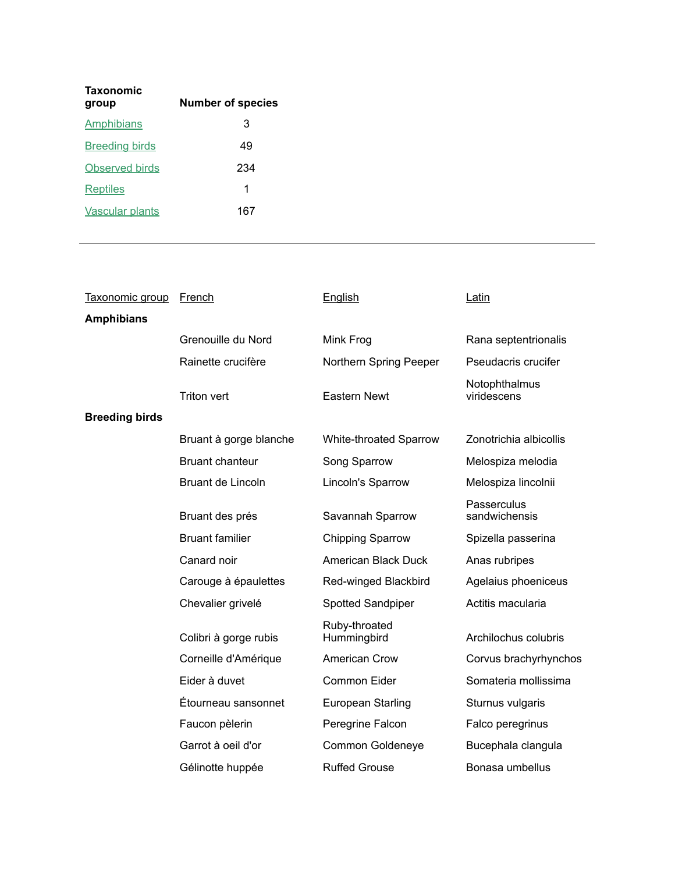| <b>Taxonomic</b><br>group | <b>Number of species</b> |
|---------------------------|--------------------------|
| Amphibians                | 3                        |
| <b>Breeding birds</b>     | 49                       |
| Observed birds            | 234                      |
| Reptiles                  | 1                        |
| <b>Vascular plants</b>    | 167                      |

| Taxonomic group       | <b>French</b>          | English                       | Latin                        |
|-----------------------|------------------------|-------------------------------|------------------------------|
| <b>Amphibians</b>     |                        |                               |                              |
|                       | Grenouille du Nord     | Mink Frog                     | Rana septentrionalis         |
|                       | Rainette crucifère     | Northern Spring Peeper        | Pseudacris crucifer          |
|                       | <b>Triton vert</b>     | Eastern Newt                  | Notophthalmus<br>viridescens |
| <b>Breeding birds</b> |                        |                               |                              |
|                       | Bruant à gorge blanche | <b>White-throated Sparrow</b> | Zonotrichia albicollis       |
|                       | <b>Bruant chanteur</b> | Song Sparrow                  | Melospiza melodia            |
|                       | Bruant de Lincoln      | Lincoln's Sparrow             | Melospiza lincolnii          |
|                       | Bruant des prés        | Savannah Sparrow              | Passerculus<br>sandwichensis |
|                       | <b>Bruant familier</b> | <b>Chipping Sparrow</b>       | Spizella passerina           |
|                       | Canard noir            | American Black Duck           | Anas rubripes                |
|                       | Carouge à épaulettes   | Red-winged Blackbird          | Agelaius phoeniceus          |
|                       | Chevalier grivelé      | Spotted Sandpiper             | Actitis macularia            |
|                       | Colibri à gorge rubis  | Ruby-throated<br>Hummingbird  | Archilochus colubris         |
|                       | Corneille d'Amérique   | American Crow                 | Corvus brachyrhynchos        |
|                       | Eider à duvet          | Common Eider                  | Somateria mollissima         |
|                       | Étourneau sansonnet    | European Starling             | Sturnus vulgaris             |
|                       | Faucon pèlerin         | Peregrine Falcon              | Falco peregrinus             |
|                       | Garrot à oeil d'or     | Common Goldeneye              | Bucephala clangula           |
|                       | Gélinotte huppée       | <b>Ruffed Grouse</b>          | Bonasa umbellus              |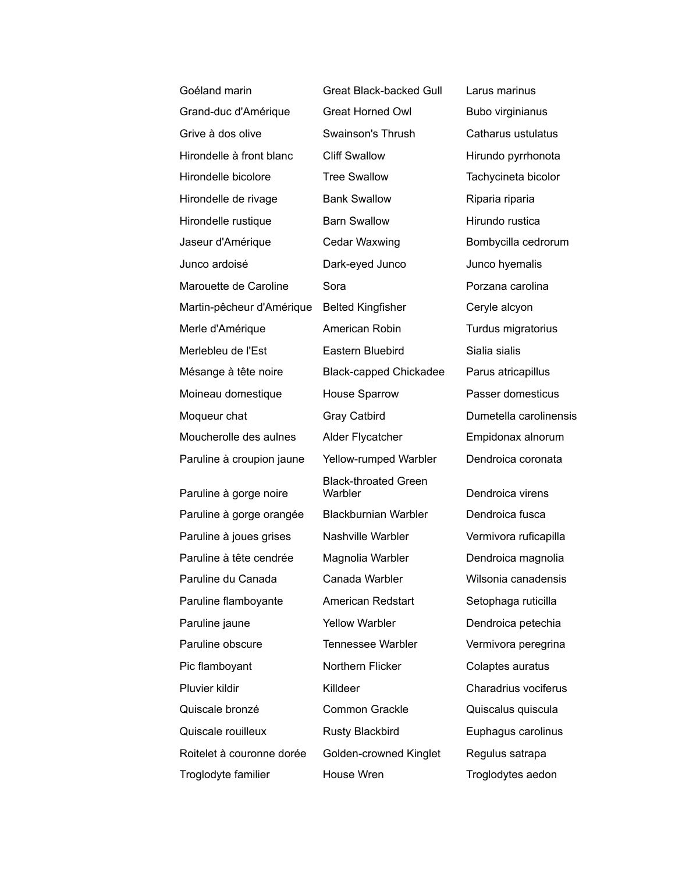| Goéland marin             | <b>Great Black-backed Gull</b>         | Larus marinus                       |
|---------------------------|----------------------------------------|-------------------------------------|
| Grand-duc d'Amérique      | <b>Great Horned Owl</b>                | Bubo virginianus                    |
| Grive à dos olive         | Swainson's Thrush                      | Catharus ustulatus                  |
| Hirondelle à front blanc  | <b>Cliff Swallow</b>                   | Hirundo pyrrhonota                  |
| Hirondelle bicolore       | <b>Tree Swallow</b>                    | Tachycineta bicolor                 |
| Hirondelle de rivage      | <b>Bank Swallow</b>                    | Riparia riparia                     |
| Hirondelle rustique       | <b>Barn Swallow</b>                    | Hirundo rustica                     |
| Jaseur d'Amérique         | Cedar Waxwing                          | Bombycilla cedrorum                 |
| Junco ardoisé             | Dark-eyed Junco                        | Junco hyemalis                      |
| Marouette de Caroline     | Sora                                   | Porzana carolina                    |
| Martin-pêcheur d'Amérique | <b>Belted Kingfisher</b>               | Ceryle alcyon                       |
| Merle d'Amérique          | American Robin                         | Turdus migratorius                  |
| Merlebleu de l'Est        | Eastern Bluebird                       | Sialia sialis                       |
| Mésange à tête noire      | <b>Black-capped Chickadee</b>          | Parus atricapillus                  |
| Moineau domestique        | House Sparrow                          | Passer domesticus                   |
| Moqueur chat              | <b>Gray Catbird</b>                    | Dumetella carolinensis              |
| Moucherolle des aulnes    | Alder Flycatcher                       | Empidonax alnorum                   |
| Paruline à croupion jaune | Yellow-rumped Warbler                  | Dendroica coronata                  |
|                           | <b>Black-throated Green</b>            |                                     |
| Paruline à gorge noire    | Warbler<br><b>Blackburnian Warbler</b> | Dendroica virens<br>Dendroica fusca |
| Paruline à gorge orangée  |                                        |                                     |
| Paruline à joues grises   | Nashville Warbler                      | Vermivora ruficapilla               |
| Paruline à tête cendrée   | Magnolia Warbler                       | Dendroica magnolia                  |
| Paruline du Canada        | Canada Warbler                         | Wilsonia canadensis                 |
| Paruline flamboyante      | American Redstart                      | Setophaga ruticilla                 |
| Paruline jaune            | <b>Yellow Warbler</b>                  | Dendroica petechia                  |
| Paruline obscure          | <b>Tennessee Warbler</b>               | Vermivora peregrina                 |
| Pic flamboyant            | Northern Flicker                       | Colaptes auratus                    |
| Pluvier kildir            | Killdeer                               | Charadrius vociferus                |
| Quiscale bronzé           | <b>Common Grackle</b>                  | Quiscalus quiscula                  |
| Quiscale rouilleux        | <b>Rusty Blackbird</b>                 | Euphagus carolinus                  |
| Roitelet à couronne dorée | Golden-crowned Kinglet                 | Regulus satrapa                     |
| Troglodyte familier       | House Wren                             | Troglodytes aedon                   |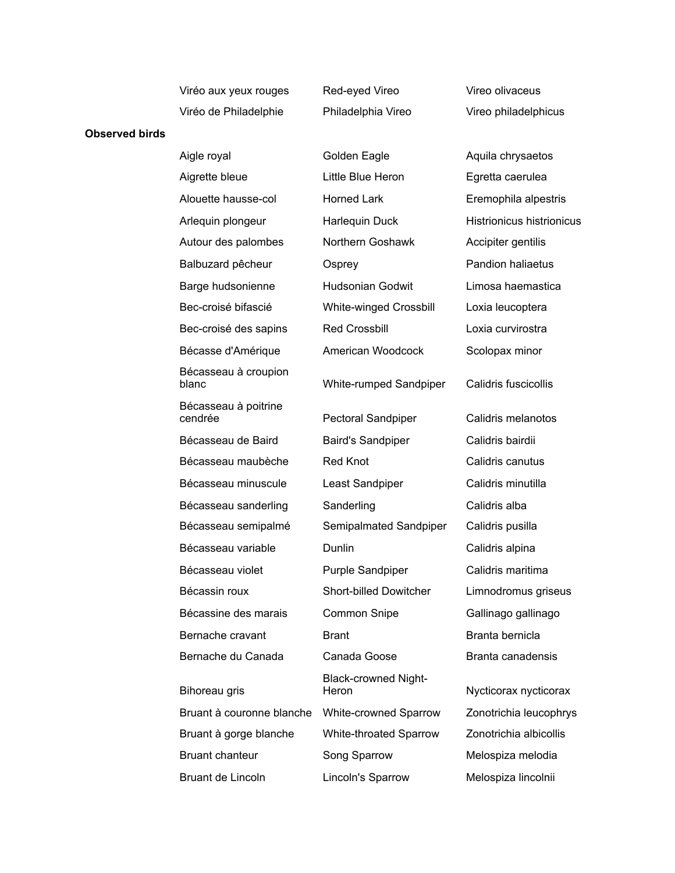| Viréo aux yeux rouges |
|-----------------------|
| Viréo de Philadelphie |

**Observed birds**

Red-eyed Vireo **Vireo Vireo olivaceus** 

Philadelphia Vireo Vireo philadelphicus

## Aigle royal **August Colden Eagle Aquila chrysaetos** Aigrette bleue Little Blue Heron Egretta caerulea Alouette hausse-col Horned Lark Eremophila alpestris Arlequin plongeur **Harlequin Duck** Histrionicus histrionicus Autour des palombes Morthern Goshawk Accipiter gentilis Balbuzard pêcheur Cosprey **Pandion haliaetus** Barge hudsonienne Hudsonian Godwit Limosa haemastica Bec-croisé bifascié White-winged Crossbill Loxia leucoptera Bec-croisé des sapins Red Crossbill Loxia curvirostra Bécasse d'Amérique **American Woodcock** Scolopax minor Bécasseau à croupion blanc White-rumped Sandpiper Calidris fuscicollis Bécasseau à poitrine cendrée **Pectoral Sandpiper** Calidris melanotos Bécasseau de Baird Baird's Sandpiper Calidris bairdii Bécasseau maubèche Red Knot Calidris canutus Bécasseau minuscule Least Sandpiper Calidris minutilla Bécasseau sanderling Sanderling Sanderling Calidris alba Bécasseau semipalmé Semipalmated Sandpiper Calidris pusilla Bécasseau variable **Dunlin** Dunlin Calidris alpina Bécasseau violet **Purple Sandpiper** Calidris maritima Bécassin roux Short-billed Dowitcher Limnodromus griseus Bécassine des marais Common Snipe **Gallinago gallinago** Bernache cravant Brant Branta bernicla Bernache du Canada Canada Goose Branta canadensis Bihoreau gris Black-crowned Night-Heron Nycticorax nycticorax Bruant à couronne blanche White-crowned Sparrow Zonotrichia leucophrys Bruant à gorge blanche White-throated Sparrow Zonotrichia albicollis Bruant chanteur **Song Sparrow** Melospiza melodia Bruant de Lincoln **Lincoln's Sparrow** Melospiza lincolnii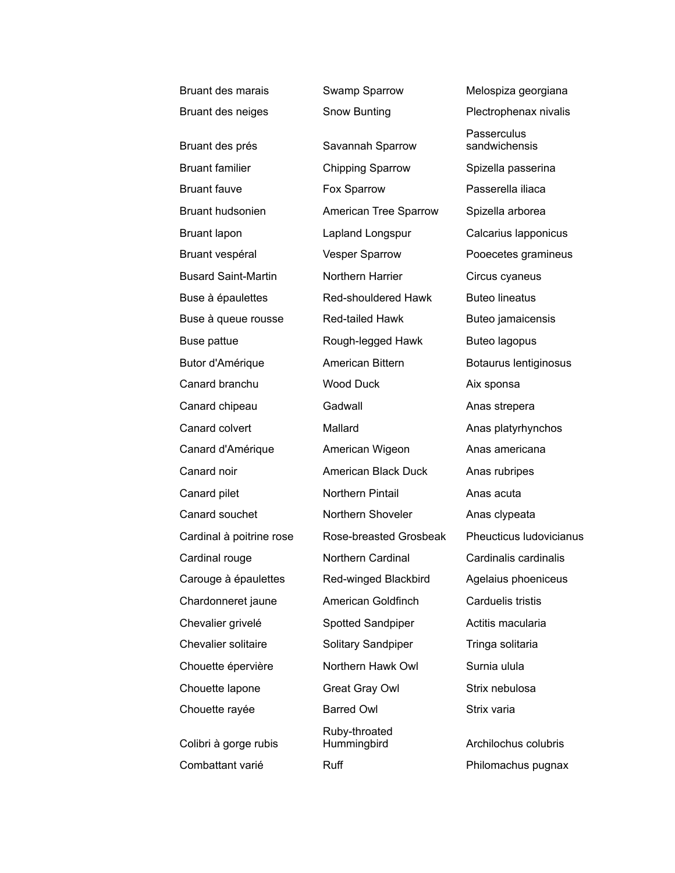| Bruant des marais        | Swamp Sparrow                | Melospiza georgiana          |
|--------------------------|------------------------------|------------------------------|
| Bruant des neiges        | Snow Bunting                 | Plectrophenax nivalis        |
| Bruant des prés          | Savannah Sparrow             | Passerculus<br>sandwichensis |
| <b>Bruant familier</b>   | <b>Chipping Sparrow</b>      | Spizella passerina           |
| <b>Bruant fauve</b>      | Fox Sparrow                  | Passerella iliaca            |
| Bruant hudsonien         | American Tree Sparrow        | Spizella arborea             |
| Bruant lapon             | Lapland Longspur             | Calcarius Iapponicus         |
| Bruant vespéral          | <b>Vesper Sparrow</b>        | Pooecetes gramineus          |
| Busard Saint-Martin      | Northern Harrier             | Circus cyaneus               |
| Buse à épaulettes        | Red-shouldered Hawk          | <b>Buteo lineatus</b>        |
| Buse à queue rousse      | Red-tailed Hawk              | Buteo jamaicensis            |
| Buse pattue              | Rough-legged Hawk            | Buteo lagopus                |
| Butor d'Amérique         | American Bittern             | Botaurus lentiginosus        |
| Canard branchu           | <b>Wood Duck</b>             | Aix sponsa                   |
| Canard chipeau           | Gadwall                      | Anas strepera                |
| Canard colvert           | Mallard                      | Anas platyrhynchos           |
| Canard d'Amérique        | American Wigeon              | Anas americana               |
| Canard noir              | American Black Duck          | Anas rubripes                |
| Canard pilet             | Northern Pintail             | Anas acuta                   |
| Canard souchet           | Northern Shoveler            | Anas clypeata                |
| Cardinal à poitrine rose | Rose-breasted Grosbeak       | Pheucticus Iudovicianus      |
| Cardinal rouge           | Northern Cardinal            | Cardinalis cardinalis        |
| Carouge à épaulettes     | Red-winged Blackbird         | Agelaius phoeniceus          |
| Chardonneret jaune       | American Goldfinch           | Carduelis tristis            |
| Chevalier grivelé        | Spotted Sandpiper            | Actitis macularia            |
| Chevalier solitaire      | Solitary Sandpiper           | Tringa solitaria             |
| Chouette épervière       | Northern Hawk Owl            | Surnia ulula                 |
| Chouette lapone          | Great Gray Owl               | Strix nebulosa               |
| Chouette rayée           | <b>Barred Owl</b>            | Strix varia                  |
| Colibri à gorge rubis    | Ruby-throated<br>Hummingbird | Archilochus colubris         |
| Combattant varié         | Ruff                         | Philomachus pugnax           |
|                          |                              |                              |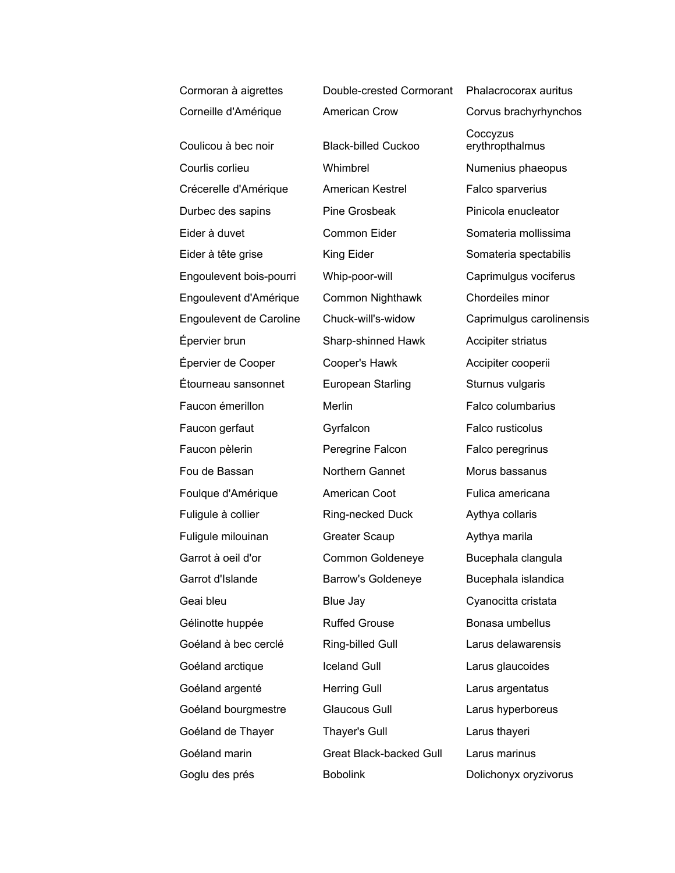Corneille d'Amérique American Crow Corvus brachyrhynchos Coulicou à bec noir Black-billed Cuckoo Courlis corlieu Whimbrel Numenius phaeopus Crécerelle d'Amérique American Kestrel Falco sparverius Durbec des sapins Pine Grosbeak Pinicola enucleator Eider à duvet Common Eider Somateria mollissima Eider à tête grise **King Eider** Somateria spectabilis Engoulevent bois-pourri Whip-poor-will Caprimulgus vociferus Engoulevent d'Amérique Common Nighthawk Chordeiles minor Engoulevent de Caroline Chuck-will's-widow Caprimulgus carolinensis Épervier brun Sharp-shinned Hawk Accipiter striatus Épervier de Cooper Cooper's Hawk Accipiter cooperii Étourneau sansonnet European Starling Sturnus vulgaris Faucon émerillon Merlin Merlin Falco columbarius Faucon gerfaut **Gyrfalcon** Gyrfalcon Falco rusticolus Faucon pèlerin **Peregrine Falcon** Falco peregrinus Fou de Bassan **Northern Gannet** Morus bassanus Foulque d'Amérique **American Coot** Fulica americana Fuligule à collier **Ring-necked Duck** Aythya collaris Fuligule milouinan **Greater Scaup** Aythya marila Garrot à oeil d'or common Goldeneye Bucephala clangula Garrot d'Islande **Barrow's Goldeneye** Bucephala islandica Geai bleu Blue Jay Cyanocitta cristata Gélinotte huppée **Ruffed Grouse** Bonasa umbellus Goéland à bec cerclé Ring-billed Gull Larus delawarensis Goéland arctique **Iceland Gull** Larus glaucoides Goéland argenté **Herring Gull** Larus argentatus Goéland bourgmestre Glaucous Gull Larus hyperboreus Goéland de Thayer Thayer's Gull Larus thayeri Goéland marin Great Black-backed Gull Larus marinus Goglu des prés **Bobolink** Dolichonyx oryzivorus

Cormoran à aigrettes Double-crested Cormorant Phalacrocorax auritus **Coccyzus** erythropthalmus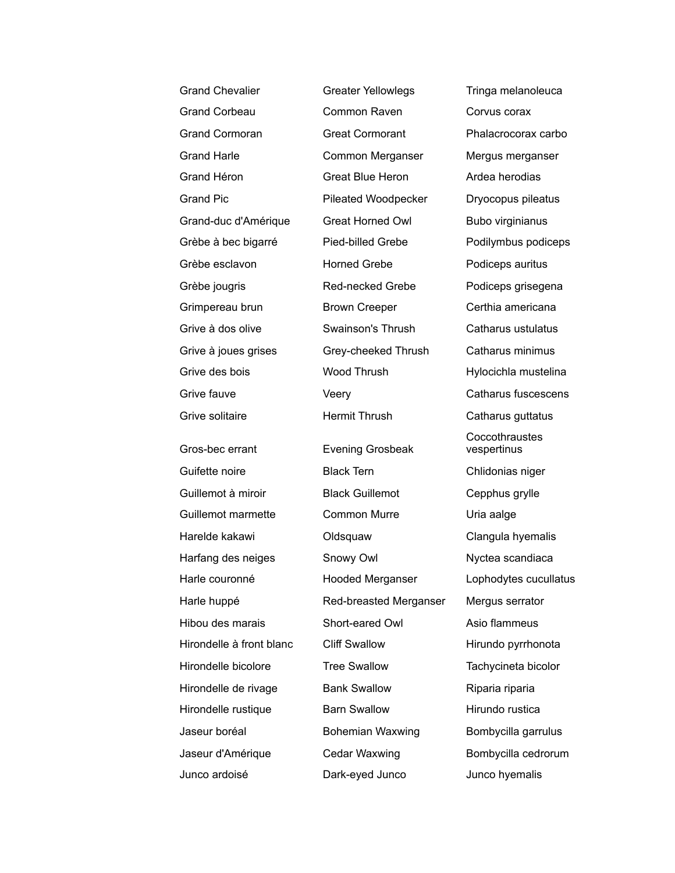| <b>Grand Chevalier</b>   | <b>Greater Yellowlegs</b> | Tringa melanoleuca            |
|--------------------------|---------------------------|-------------------------------|
| <b>Grand Corbeau</b>     | Common Raven              | Corvus corax                  |
| <b>Grand Cormoran</b>    | <b>Great Cormorant</b>    | Phalacrocorax carbo           |
| <b>Grand Harle</b>       | Common Merganser          | Mergus merganser              |
| Grand Héron              | <b>Great Blue Heron</b>   | Ardea herodias                |
| <b>Grand Pic</b>         | Pileated Woodpecker       | Dryocopus pileatus            |
| Grand-duc d'Amérique     | <b>Great Horned Owl</b>   | Bubo virginianus              |
| Grèbe à bec bigarré      | Pied-billed Grebe         | Podilymbus podiceps           |
| Grèbe esclavon           | <b>Horned Grebe</b>       | Podiceps auritus              |
| Grèbe jougris            | Red-necked Grebe          | Podiceps grisegena            |
| Grimpereau brun          | <b>Brown Creeper</b>      | Certhia americana             |
| Grive à dos olive        | Swainson's Thrush         | Catharus ustulatus            |
| Grive à joues grises     | Grey-cheeked Thrush       | Catharus minimus              |
| Grive des bois           | <b>Wood Thrush</b>        | Hylocichla mustelina          |
| Grive fauve              | Veery                     | Catharus fuscescens           |
| Grive solitaire          | <b>Hermit Thrush</b>      | Catharus guttatus             |
| Gros-bec errant          | <b>Evening Grosbeak</b>   | Coccothraustes<br>vespertinus |
| Guifette noire           | <b>Black Tern</b>         | Chlidonias niger              |
| Guillemot à miroir       | <b>Black Guillemot</b>    | Cepphus grylle                |
| Guillemot marmette       | <b>Common Murre</b>       | Uria aalge                    |
| Harelde kakawi           | Oldsquaw                  | Clangula hyemalis             |
| Harfang des neiges       | Snowy Owl                 | Nyctea scandiaca              |
| Harle couronné           | <b>Hooded Merganser</b>   | Lophodytes cucullatus         |
| Harle huppé              | Red-breasted Merganser    | Mergus serrator               |
| Hibou des marais         | Short-eared Owl           | Asio flammeus                 |
| Hirondelle à front blanc | <b>Cliff Swallow</b>      | Hirundo pyrrhonota            |
| Hirondelle bicolore      | <b>Tree Swallow</b>       | Tachycineta bicolor           |
| Hirondelle de rivage     | <b>Bank Swallow</b>       | Riparia riparia               |
| Hirondelle rustique      | <b>Barn Swallow</b>       | Hirundo rustica               |
| Jaseur boréal            | <b>Bohemian Waxwing</b>   | Bombycilla garrulus           |
| Jaseur d'Amérique        | Cedar Waxwing             | Bombycilla cedrorum           |
| Junco ardoisé            | Dark-eyed Junco           | Junco hyemalis                |
|                          |                           |                               |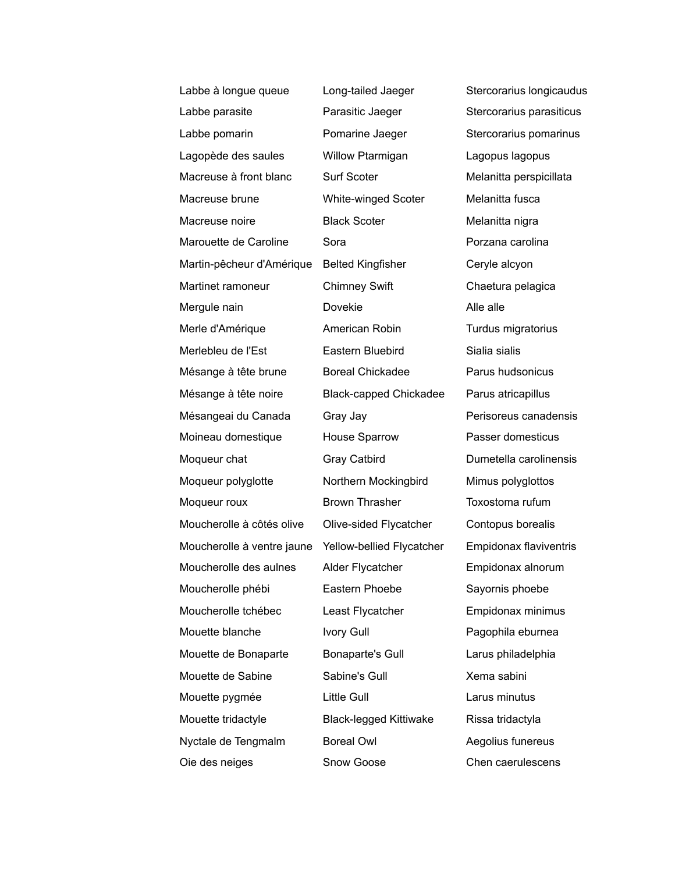| Labbe à longue queue       | Long-tailed Jaeger            | Stercorarius longicaudus      |
|----------------------------|-------------------------------|-------------------------------|
| Labbe parasite             | Parasitic Jaeger              | Stercorarius parasiticus      |
| Labbe pomarin              | Pomarine Jaeger               | Stercorarius pomarinus        |
| Lagopède des saules        | Willow Ptarmigan              | Lagopus lagopus               |
| Macreuse à front blanc     | Surf Scoter                   | Melanitta perspicillata       |
| Macreuse brune             | White-winged Scoter           | Melanitta fusca               |
| Macreuse noire             | <b>Black Scoter</b>           | Melanitta nigra               |
| Marouette de Caroline      | Sora                          | Porzana carolina              |
| Martin-pêcheur d'Amérique  | <b>Belted Kingfisher</b>      | Ceryle alcyon                 |
| Martinet ramoneur          | <b>Chimney Swift</b>          | Chaetura pelagica             |
| Mergule nain               | Dovekie                       | Alle alle                     |
| Merle d'Amérique           | American Robin                | Turdus migratorius            |
| Merlebleu de l'Est         | Eastern Bluebird              | Sialia sialis                 |
| Mésange à tête brune       | <b>Boreal Chickadee</b>       | Parus hudsonicus              |
| Mésange à tête noire       | <b>Black-capped Chickadee</b> | Parus atricapillus            |
| Mésangeai du Canada        | Gray Jay                      | Perisoreus canadensis         |
| Moineau domestique         | House Sparrow                 | Passer domesticus             |
| Moqueur chat               | Gray Catbird                  | Dumetella carolinensis        |
| Moqueur polyglotte         | Northern Mockingbird          | Mimus polyglottos             |
| Moqueur roux               | <b>Brown Thrasher</b>         | Toxostoma rufum               |
| Moucherolle à côtés olive  | Olive-sided Flycatcher        | Contopus borealis             |
| Moucherolle à ventre jaune | Yellow-bellied Flycatcher     | <b>Empidonax flaviventris</b> |
| Moucherolle des aulnes     | Alder Flycatcher              | Empidonax alnorum             |
| Moucherolle phébi          | Eastern Phoebe                | Sayornis phoebe               |
| Moucherolle tchébec        | Least Flycatcher              | Empidonax minimus             |
| Mouette blanche            | <b>Ivory Gull</b>             | Pagophila eburnea             |
| Mouette de Bonaparte       | <b>Bonaparte's Gull</b>       | Larus philadelphia            |
| Mouette de Sabine          | Sabine's Gull                 | Xema sabini                   |
| Mouette pygmée             | Little Gull                   | Larus minutus                 |
| Mouette tridactyle         | <b>Black-legged Kittiwake</b> | Rissa tridactyla              |
| Nyctale de Tengmalm        | <b>Boreal Owl</b>             | Aegolius funereus             |
| Oie des neiges             | Snow Goose                    | Chen caerulescens             |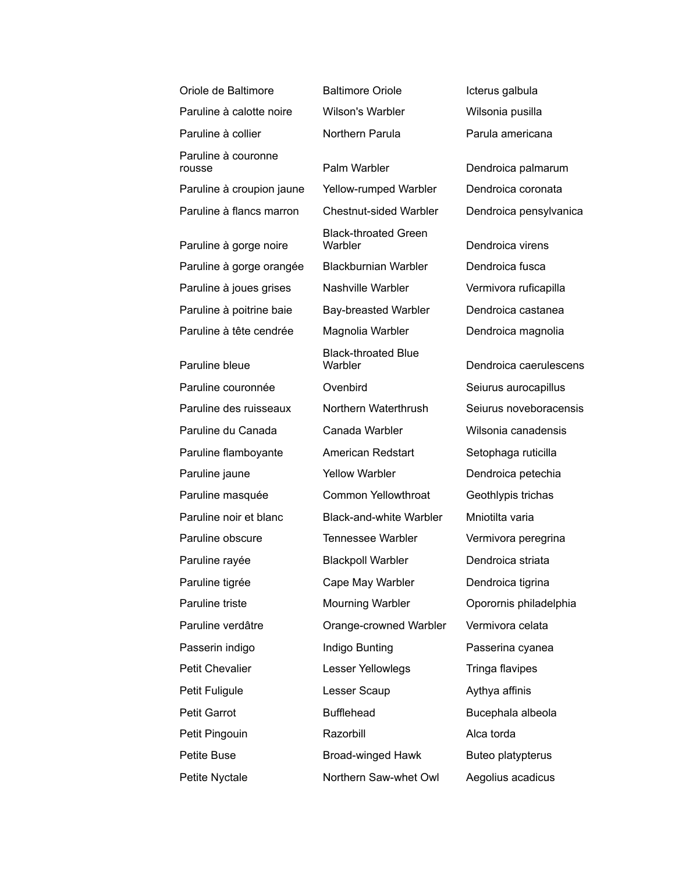| Oriole de Baltimore           | <b>Baltimore Oriole</b>                | Icterus galbula        |
|-------------------------------|----------------------------------------|------------------------|
| Paruline à calotte noire      | <b>Wilson's Warbler</b>                | Wilsonia pusilla       |
| Paruline à collier            | Northern Parula                        | Parula americana       |
| Paruline à couronne<br>rousse | Palm Warbler                           | Dendroica palmarum     |
| Paruline à croupion jaune     | <b>Yellow-rumped Warbler</b>           | Dendroica coronata     |
| Paruline à flancs marron      | <b>Chestnut-sided Warbler</b>          | Dendroica pensylvanica |
| Paruline à gorge noire        | <b>Black-throated Green</b><br>Warbler | Dendroica virens       |
| Paruline à gorge orangée      | <b>Blackburnian Warbler</b>            | Dendroica fusca        |
| Paruline à joues grises       | <b>Nashville Warbler</b>               | Vermivora ruficapilla  |
| Paruline à poitrine baie      | Bay-breasted Warbler                   | Dendroica castanea     |
| Paruline à tête cendrée       | Magnolia Warbler                       | Dendroica magnolia     |
| Paruline bleue                | <b>Black-throated Blue</b><br>Warbler  | Dendroica caerulescens |
| Paruline couronnée            | Ovenbird                               | Seiurus aurocapillus   |
| Paruline des ruisseaux        | Northern Waterthrush                   | Seiurus noveboracensis |
| Paruline du Canada            | Canada Warbler                         | Wilsonia canadensis    |
| Paruline flamboyante          | American Redstart                      | Setophaga ruticilla    |
| Paruline jaune                | <b>Yellow Warbler</b>                  | Dendroica petechia     |
| Paruline masquée              | Common Yellowthroat                    | Geothlypis trichas     |
| Paruline noir et blanc        | <b>Black-and-white Warbler</b>         | Mniotilta varia        |
| Paruline obscure              | <b>Tennessee Warbler</b>               | Vermivora peregrina    |
| Paruline rayée                | <b>Blackpoll Warbler</b>               | Dendroica striata      |
| Paruline tigrée               | Cape May Warbler                       | Dendroica tigrina      |
| Paruline triste               | Mourning Warbler                       | Oporornis philadelphia |
| Paruline verdâtre             | Orange-crowned Warbler                 | Vermivora celata       |
| Passerin indigo               | Indigo Bunting                         | Passerina cyanea       |
| Petit Chevalier               | Lesser Yellowlegs                      | Tringa flavipes        |
| Petit Fuligule                | Lesser Scaup                           | Aythya affinis         |
| <b>Petit Garrot</b>           | <b>Bufflehead</b>                      | Bucephala albeola      |
| Petit Pingouin                | Razorbill                              | Alca torda             |
| Petite Buse                   | <b>Broad-winged Hawk</b>               | Buteo platypterus      |
| Petite Nyctale                | Northern Saw-whet Owl                  | Aegolius acadicus      |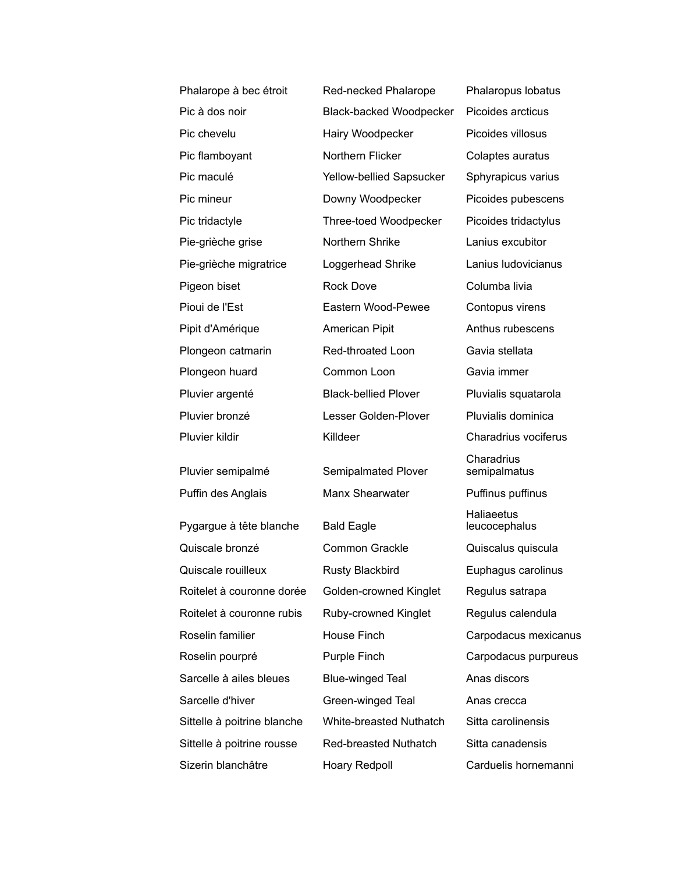| Phalarope à bec étroit      | Red-necked Phalarope           | Phalaropus lobatus                 |
|-----------------------------|--------------------------------|------------------------------------|
| Pic à dos noir              | <b>Black-backed Woodpecker</b> | Picoides arcticus                  |
| Pic chevelu                 | Hairy Woodpecker               | Picoides villosus                  |
| Pic flamboyant              | Northern Flicker               | Colaptes auratus                   |
| Pic maculé                  | Yellow-bellied Sapsucker       | Sphyrapicus varius                 |
| Pic mineur                  | Downy Woodpecker               | Picoides pubescens                 |
| Pic tridactyle              | Three-toed Woodpecker          | Picoides tridactylus               |
| Pie-grièche grise           | Northern Shrike                | Lanius excubitor                   |
| Pie-grièche migratrice      | Loggerhead Shrike              | Lanius Iudovicianus                |
| Pigeon biset                | <b>Rock Dove</b>               | Columba livia                      |
| Pioui de l'Est              | Eastern Wood-Pewee             | Contopus virens                    |
| Pipit d'Amérique            | American Pipit                 | Anthus rubescens                   |
| Plongeon catmarin           | Red-throated Loon              | Gavia stellata                     |
| Plongeon huard              | Common Loon                    | Gavia immer                        |
| Pluvier argenté             | <b>Black-bellied Plover</b>    | Pluvialis squatarola               |
| Pluvier bronzé              | Lesser Golden-Plover           | Pluvialis dominica                 |
| Pluvier kildir              | Killdeer                       | Charadrius vociferus               |
| Pluvier semipalmé           | Semipalmated Plover            | Charadrius<br>semipalmatus         |
| Puffin des Anglais          | Manx Shearwater                | Puffinus puffinus                  |
| Pygargue à tête blanche     | <b>Bald Eagle</b>              | <b>Haliaeetus</b><br>leucocephalus |
| Quiscale bronzé             | <b>Common Grackle</b>          | Quiscalus quiscula                 |
| Quiscale rouilleux          | <b>Rusty Blackbird</b>         | Euphagus carolinus                 |
| Roitelet à couronne dorée   | Golden-crowned Kinglet         | Regulus satrapa                    |
| Roitelet à couronne rubis   | Ruby-crowned Kinglet           | Regulus calendula                  |
| Roselin familier            | House Finch                    | Carpodacus mexicanus               |
| Roselin pourpré             | Purple Finch                   | Carpodacus purpureus               |
| Sarcelle à ailes bleues     | <b>Blue-winged Teal</b>        | Anas discors                       |
| Sarcelle d'hiver            | Green-winged Teal              | Anas crecca                        |
| Sittelle à poitrine blanche | White-breasted Nuthatch        | Sitta carolinensis                 |
| Sittelle à poitrine rousse  | Red-breasted Nuthatch          | Sitta canadensis                   |
| Sizerin blanchâtre          | Hoary Redpoll                  | Carduelis hornemanni               |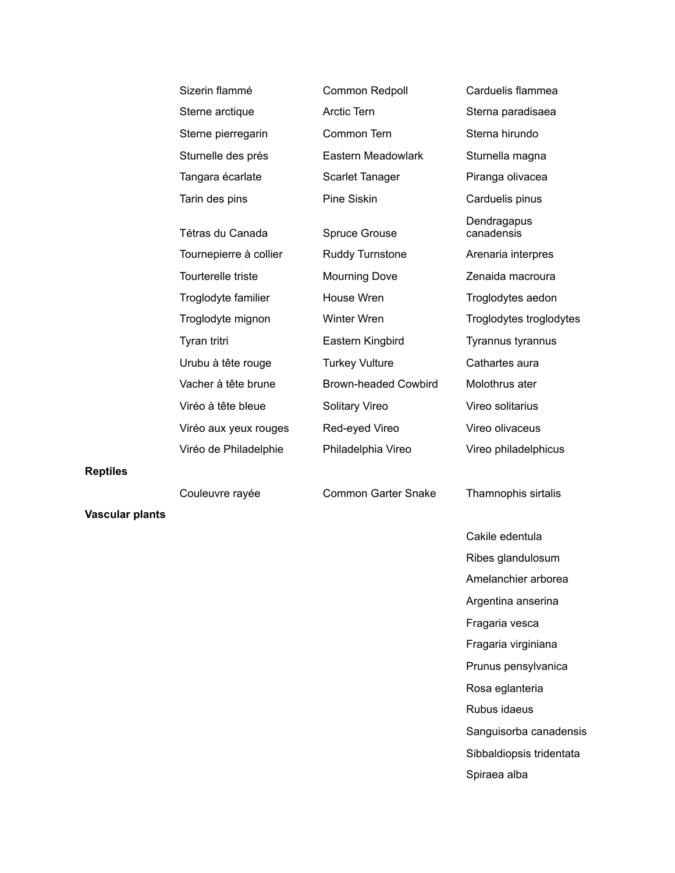| Sizerin flammé         | Common Redpoll              | Carduelis flammea         |
|------------------------|-----------------------------|---------------------------|
| Sterne arctique        | <b>Arctic Tern</b>          | Sterna paradisaea         |
| Sterne pierregarin     | Common Tern                 | Sterna hirundo            |
| Sturnelle des prés     | Eastern Meadowlark          | Sturnella magna           |
| Tangara écarlate       | <b>Scarlet Tanager</b>      | Piranga olivacea          |
| Tarin des pins         | Pine Siskin                 | Carduelis pinus           |
| Tétras du Canada       | <b>Spruce Grouse</b>        | Dendragapus<br>canadensis |
| Tournepierre à collier | <b>Ruddy Turnstone</b>      | Arenaria interpres        |
| Tourterelle triste     | <b>Mourning Dove</b>        | Zenaida macroura          |
| Troglodyte familier    | House Wren                  | Troglodytes aedon         |
| Troglodyte mignon      | Winter Wren                 | Troglodytes troglodytes   |
| Tyran tritri           | Eastern Kingbird            | Tyrannus tyrannus         |
| Urubu à tête rouge     | <b>Turkey Vulture</b>       | Cathartes aura            |
| Vacher à tête brune    | <b>Brown-headed Cowbird</b> | Molothrus ater            |
| Viréo à tête bleue     | <b>Solitary Vireo</b>       | Vireo solitarius          |
| Viréo aux yeux rouges  | Red-eyed Vireo              | Vireo olivaceus           |
| Viréo de Philadelphie  | Philadelphia Vireo          | Vireo philadelphicus      |
|                        |                             |                           |

**Reptiles**

**Vascular plants**

Couleuvre rayée Common Garter Snake Thamnophis sirtalis

Cakile edentula Ribes glandulosum Amelanchier arborea Argentina anserina Fragaria vesca Fragaria virginiana Prunus pensylvanica Rosa eglanteria Rubus idaeus Sanguisorba canadensis Sibbaldiopsis tridentata Spiraea alba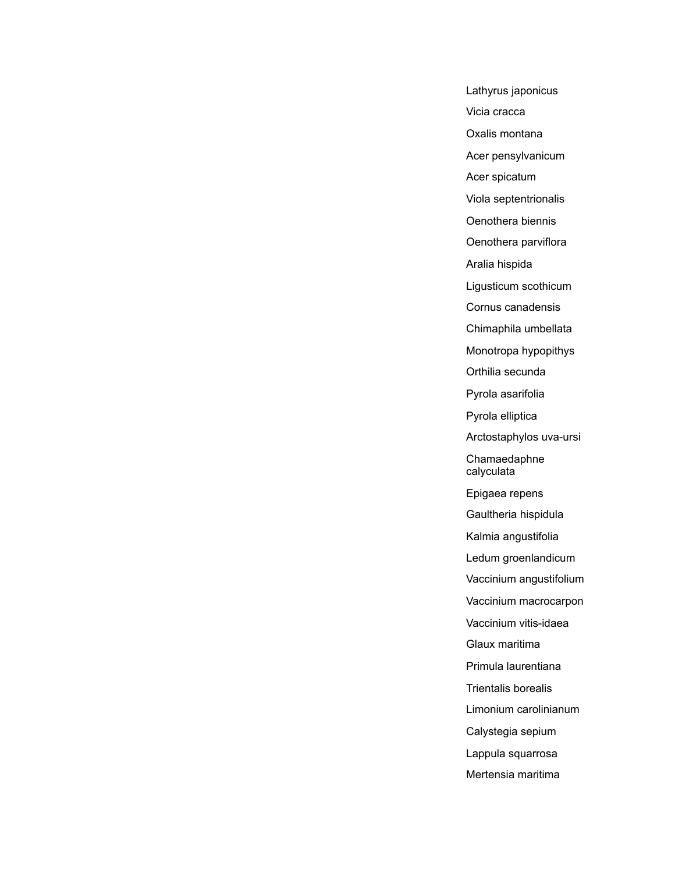Lathyrus japonicus Vicia cracca Oxalis montana Acer pensylvanicum Acer spicatum Viola septentrionalis Oenothera biennis Oenothera parviflora Aralia hispida Ligusticum scothicum Cornus canadensis Chimaphila umbellata Monotropa hypopithys Orthilia secunda Pyrola asarifolia Pyrola elliptica Arctostaphylos uva-ursi Chamaedaphne calyculata Epigaea repens Gaultheria hispidula Kalmia angustifolia Ledum groenlandicum Vaccinium angustifolium Vaccinium macrocarpon Vaccinium vitis-idaea Glaux maritima Primula laurentiana Trientalis borealis Limonium carolinianum Calystegia sepium Lappula squarrosa Mertensia maritima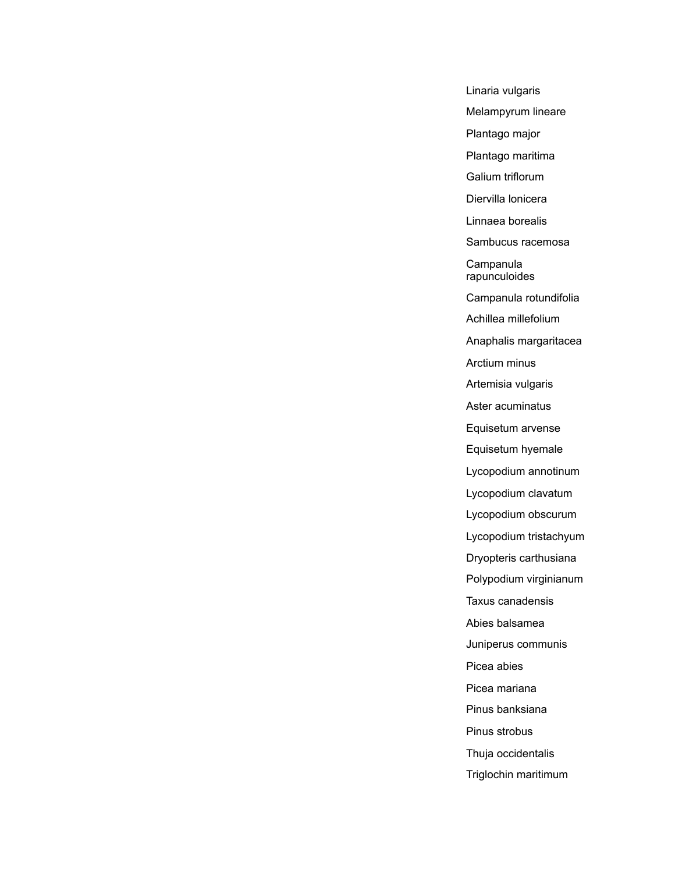Linaria vulgaris Melampyrum lineare Plantago major Plantago maritima Galium triflorum Diervilla lonicera Linnaea borealis Sambucus racemosa **Campanula** rapunculoides Campanula rotundifolia Achillea millefolium Anaphalis margaritacea Arctium minus Artemisia vulgaris Aster acuminatus Equisetum arvense Equisetum hyemale Lycopodium annotinum Lycopodium clavatum Lycopodium obscurum Lycopodium tristachyum Dryopteris carthusiana Polypodium virginianum Taxus canadensis Abies balsamea Juniperus communis Picea abies Picea mariana Pinus banksiana Pinus strobus Thuja occidentalis Triglochin maritimum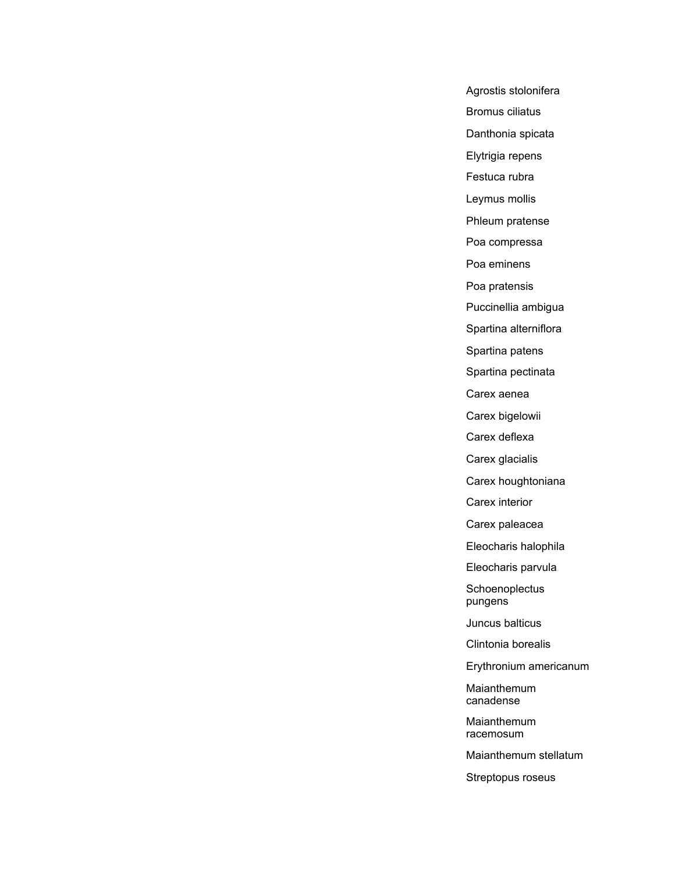Agrostis stolonifera Bromus ciliatus Danthonia spicata Elytrigia repens Festuca rubra Leymus mollis Phleum pratense Poa compressa Poa eminens Poa pratensis Puccinellia ambigua Spartina alterniflora Spartina patens Spartina pectinata Carex aenea Carex bigelowii Carex deflexa Carex glacialis Carex houghtoniana Carex interior Carex paleacea Eleocharis halophila Eleocharis parvula **Schoenoplectus** pungens Juncus balticus Clintonia borealis Erythronium americanum

Maianthemum canadense

Maianthemum racemosum

Maianthemum stellatum

Streptopus roseus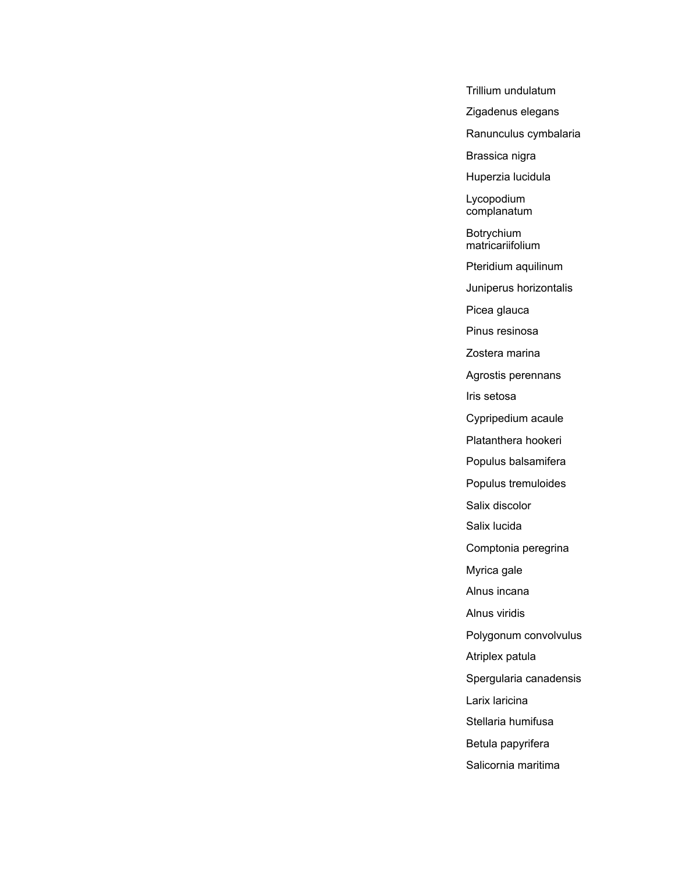Trillium undulatum Zigadenus elegans Ranunculus cymbalaria Brassica nigra Huperzia lucidula Lycopodium complanatum Botrychium matricariifolium Pteridium aquilinum Juniperus horizontalis Picea glauca Pinus resinosa Zostera marina Agrostis perennans Iris setosa Cypripedium acaule Platanthera hookeri Populus balsamifera Populus tremuloides Salix discolor Salix lucida Comptonia peregrina Myrica gale Alnus incana Alnus viridis Polygonum convolvulus Atriplex patula Spergularia canadensis Larix laricina Stellaria humifusa Betula papyrifera Salicornia maritima